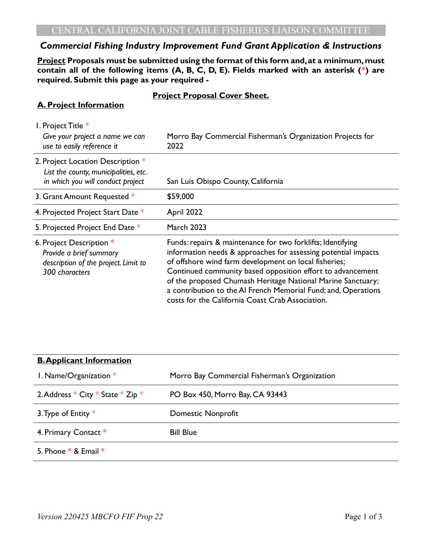# *Commercial Fishing Industry Improvement Fund Grant Application & Instructions*

**Project Proposals must be submitted using the format of this form and, at a minimum, must contain all of the following items (A, B, C, D, E). Fields marked with an asterisk (\*) are required. Submit this page as your required -**

#### **Project Proposal Cover Sheet.**

## **A. Project Information**

| I. Project Title *                                                                                              |                                                                                                                                                                                                                                                                                                                                                                                                                                           |  |  |
|-----------------------------------------------------------------------------------------------------------------|-------------------------------------------------------------------------------------------------------------------------------------------------------------------------------------------------------------------------------------------------------------------------------------------------------------------------------------------------------------------------------------------------------------------------------------------|--|--|
| Give your project a name we can<br>use to easily reference it                                                   | Morro Bay Commercial Fisherman's Organization Projects for<br>2022                                                                                                                                                                                                                                                                                                                                                                        |  |  |
| 2. Project Location Description *<br>List the county, municipalities, etc.<br>in which you will conduct project | San Luis Obispo County, California                                                                                                                                                                                                                                                                                                                                                                                                        |  |  |
| 3. Grant Amount Requested *                                                                                     | \$59,000                                                                                                                                                                                                                                                                                                                                                                                                                                  |  |  |
| 4. Projected Project Start Date *                                                                               | April 2022                                                                                                                                                                                                                                                                                                                                                                                                                                |  |  |
| 5. Projected Project End Date *                                                                                 | <b>March 2023</b>                                                                                                                                                                                                                                                                                                                                                                                                                         |  |  |
| 6. Project Description *<br>Provide a brief summary<br>description of the project. Limit to<br>300 characters   | Funds: repairs & maintenance for two forklifts; Identifying<br>information needs & approaches for assessing potential impacts<br>of offshore wind farm development on local fisheries;<br>Continued community based opposition effort to advancement<br>of the proposed Chumash Heritage National Marine Sanctuary;<br>a contribution to the AI French Memorial Fund; and, Operations<br>costs for the California Coast Crab Association. |  |  |

| <b>B. Applicant Information</b>           |                                               |
|-------------------------------------------|-----------------------------------------------|
| I. Name/Organization *                    | Morro Bay Commercial Fisherman's Organization |
| 2. Address $*$ City $*$ State $*$ Zip $*$ | PO Box 450, Morro Bay, CA 93443               |
| 3. Type of Entity $*$                     | Domestic Nonprofit                            |
| 4. Primary Contact *                      | <b>Bill Blue</b>                              |
| 5. Phone $*$ & Email $*$                  |                                               |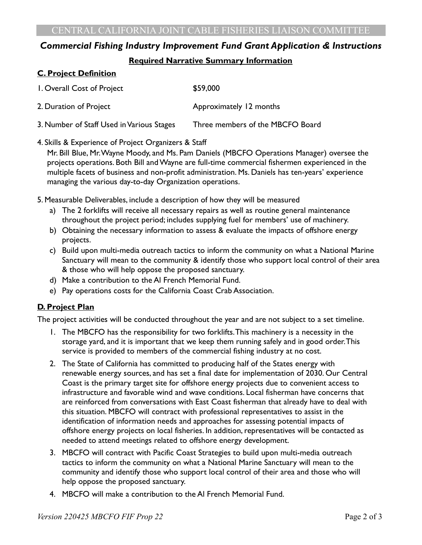# *Commercial Fishing Industry Improvement Fund Grant Application & Instructions* **Required Narrative Summary Information**

#### **C. Project Definition**

| I. Overall Cost of Project                | \$59,000                         |
|-------------------------------------------|----------------------------------|
| 2. Duration of Project                    | Approximately 12 months          |
| 3. Number of Staff Used in Various Stages | Three members of the MBCFO Board |

#### 4. Skills & Experience of Project Organizers & Staff

Mr. Bill Blue, Mr. Wayne Moody, and Ms. Pam Daniels (MBCFO Operations Manager) oversee the projects operations. Both Bill and Wayne are full-time commercial fishermen experienced in the multiple facets of business and non-profit administration. Ms. Daniels has ten-years' experience managing the various day-to-day Organization operations.

5. Measurable Deliverables, include a description of how they will be measured

- a) The 2 forklifts will receive all necessary repairs as well as routine general maintenance throughout the project period; includes supplying fuel for members' use of machinery.
- b) Obtaining the necessary information to assess & evaluate the impacts of offshore energy projects.
- c) Build upon multi-media outreach tactics to inform the community on what a National Marine Sanctuary will mean to the community & identify those who support local control of their area & those who will help oppose the proposed sanctuary.
- d) Make a contribution to the Al French Memorial Fund.
- e) Pay operations costs for the California Coast Crab Association.

#### **D. Project Plan**

The project activities will be conducted throughout the year and are not subject to a set timeline.

- 1. The MBCFO has the responsibility for two forklifts. This machinery is a necessity in the storage yard, and it is important that we keep them running safely and in good order. This service is provided to members of the commercial fishing industry at no cost.
- 2. The State of California has committed to producing half of the States energy with renewable energy sources, and has set a final date for implementation of 2030. Our Central Coast is the primary target site for offshore energy projects due to convenient access to infrastructure and favorable wind and wave conditions. Local fisherman have concerns that are reinforced from conversations with East Coast fisherman that already have to deal with this situation. MBCFO will contract with professional representatives to assist in the identification of information needs and approaches for assessing potential impacts of offshore energy projects on local fisheries. In addition, representatives will be contacted as needed to attend meetings related to offshore energy development.
- 3. MBCFO will contract with Pacific Coast Strategies to build upon multi-media outreach tactics to inform the community on what a National Marine Sanctuary will mean to the community and identify those who support local control of their area and those who will help oppose the proposed sanctuary.
- 4. MBCFO will make a contribution to the Al French Memorial Fund.